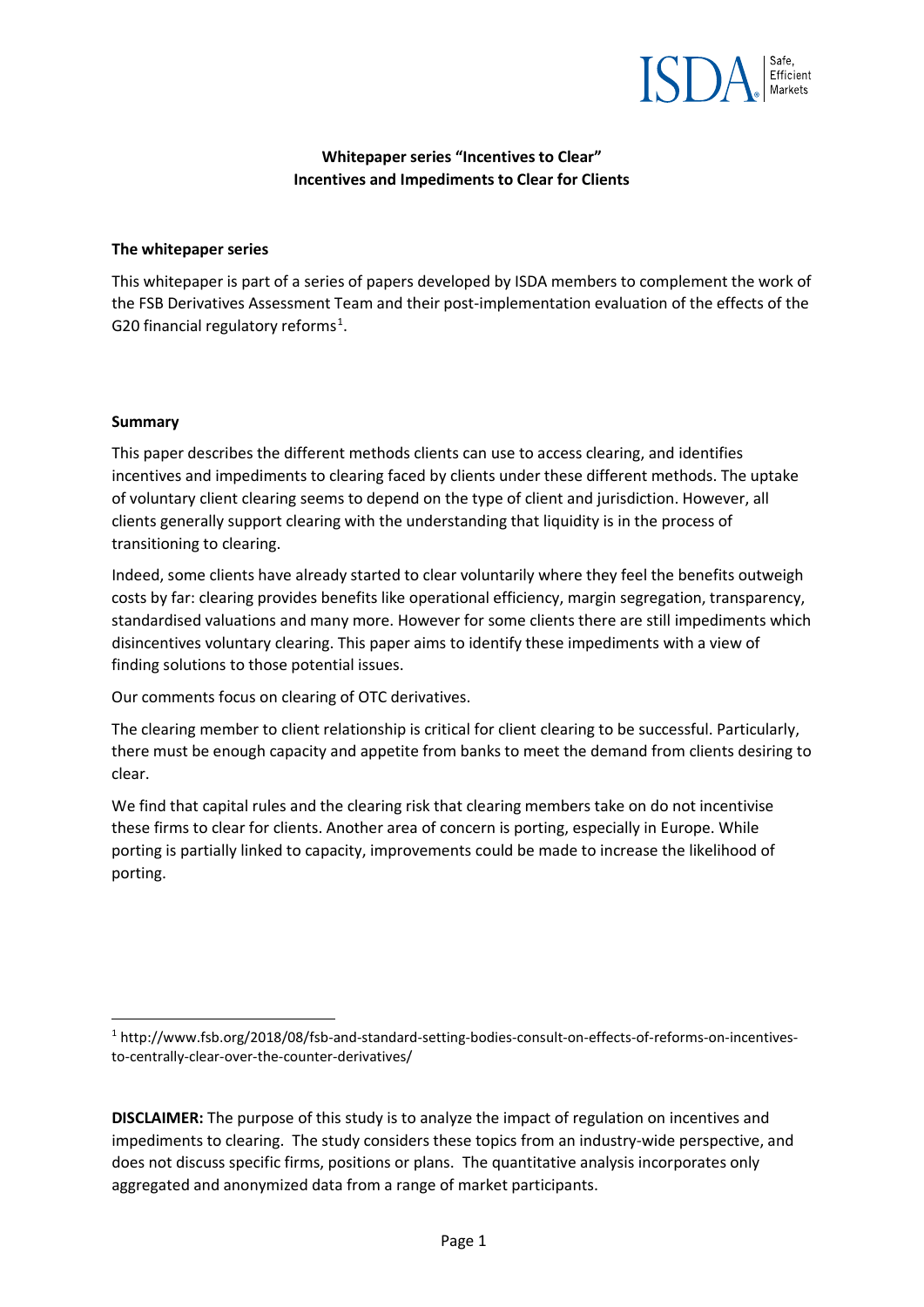

### **Whitepaper series "Incentives to Clear" Incentives and Impediments to Clear for Clients**

#### **The whitepaper series**

This whitepaper is part of a series of papers developed by ISDA members to complement the work of the FSB Derivatives Assessment Team and their post-implementation evaluation of the effects of the G20 financial regulatory reforms $<sup>1</sup>$  $<sup>1</sup>$  $<sup>1</sup>$ .</sup>

#### **Summary**

This paper describes the different methods clients can use to access clearing, and identifies incentives and impediments to clearing faced by clients under these different methods. The uptake of voluntary client clearing seems to depend on the type of client and jurisdiction. However, all clients generally support clearing with the understanding that liquidity is in the process of transitioning to clearing.

Indeed, some clients have already started to clear voluntarily where they feel the benefits outweigh costs by far: clearing provides benefits like operational efficiency, margin segregation, transparency, standardised valuations and many more. However for some clients there are still impediments which disincentives voluntary clearing. This paper aims to identify these impediments with a view of finding solutions to those potential issues.

Our comments focus on clearing of OTC derivatives.

The clearing member to client relationship is critical for client clearing to be successful. Particularly, there must be enough capacity and appetite from banks to meet the demand from clients desiring to clear.

We find that capital rules and the clearing risk that clearing members take on do not incentivise these firms to clear for clients. Another area of concern is porting, especially in Europe. While porting is partially linked to capacity, improvements could be made to increase the likelihood of porting.

<span id="page-0-0"></span> <sup>1</sup> http://www.fsb.org/2018/08/fsb-and-standard-setting-bodies-consult-on-effects-of-reforms-on-incentivesto-centrally-clear-over-the-counter-derivatives/

**DISCLAIMER:** The purpose of this study is to analyze the impact of regulation on incentives and impediments to clearing. The study considers these topics from an industry-wide perspective, and does not discuss specific firms, positions or plans. The quantitative analysis incorporates only aggregated and anonymized data from a range of market participants.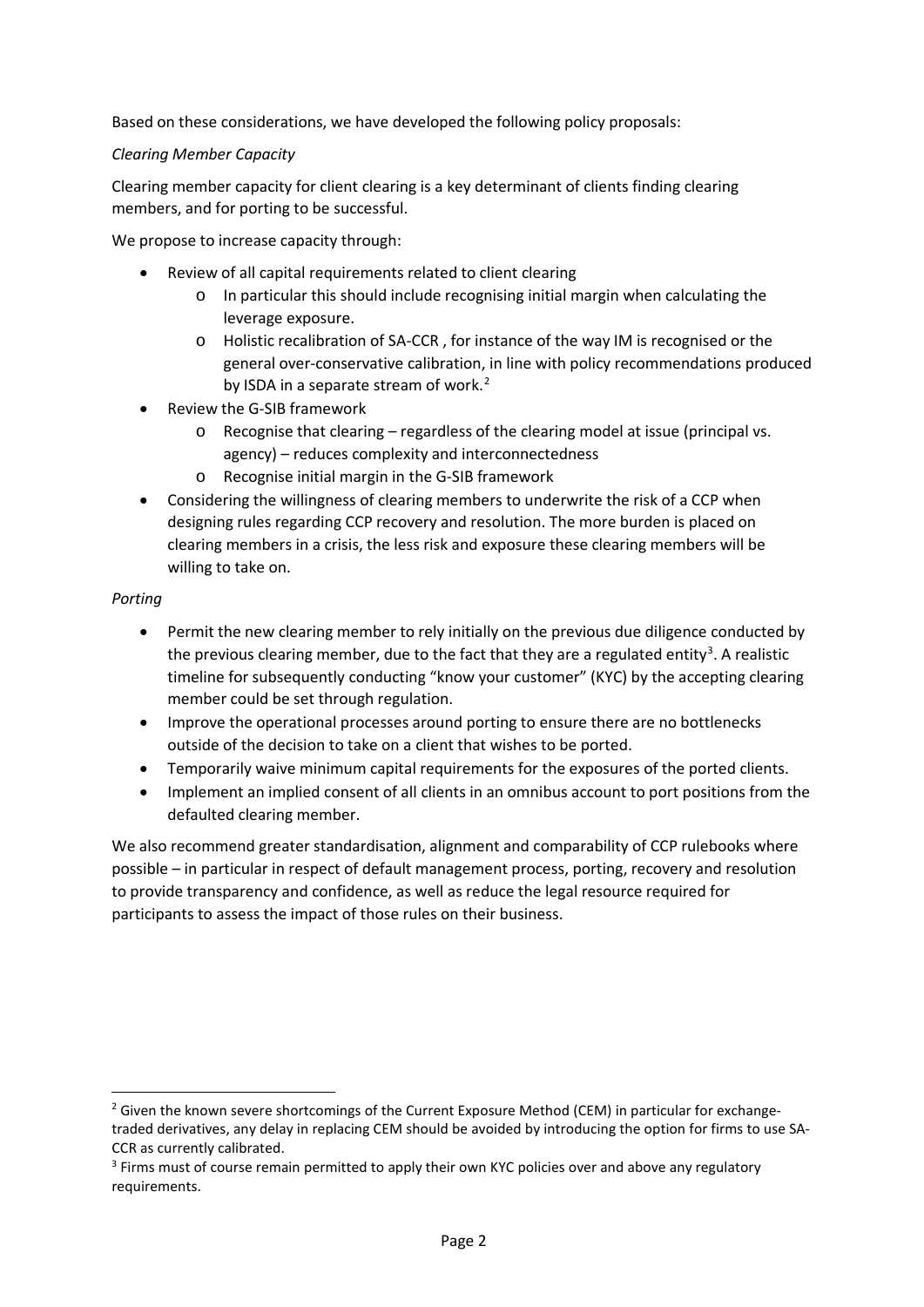Based on these considerations, we have developed the following policy proposals:

# *Clearing Member Capacity*

Clearing member capacity for client clearing is a key determinant of clients finding clearing members, and for porting to be successful.

We propose to increase capacity through:

- Review of all capital requirements related to client clearing
	- o In particular this should include recognising initial margin when calculating the leverage exposure.
	- o Holistic recalibration of SA-CCR , for instance of the way IM is recognised or the general over-conservative calibration, in line with policy recommendations produced by ISDA in a separate stream of work.<sup>[2](#page-1-0)</sup>
- Review the G-SIB framework
	- o Recognise that clearing regardless of the clearing model at issue (principal vs. agency) – reduces complexity and interconnectedness
	- o Recognise initial margin in the G-SIB framework
- Considering the willingness of clearing members to underwrite the risk of a CCP when designing rules regarding CCP recovery and resolution. The more burden is placed on clearing members in a crisis, the less risk and exposure these clearing members will be willing to take on.

### *Porting*

- Permit the new clearing member to rely initially on the previous due diligence conducted by the previous clearing member, due to the fact that they are a regulated entity<sup>[3](#page-1-1)</sup>. A realistic timeline for subsequently conducting "know your customer" (KYC) by the accepting clearing member could be set through regulation.
- Improve the operational processes around porting to ensure there are no bottlenecks outside of the decision to take on a client that wishes to be ported.
- Temporarily waive minimum capital requirements for the exposures of the ported clients.
- Implement an implied consent of all clients in an omnibus account to port positions from the defaulted clearing member.

We also recommend greater standardisation, alignment and comparability of CCP rulebooks where possible – in particular in respect of default management process, porting, recovery and resolution to provide transparency and confidence, as well as reduce the legal resource required for participants to assess the impact of those rules on their business.

<span id="page-1-0"></span> $2$  Given the known severe shortcomings of the Current Exposure Method (CEM) in particular for exchangetraded derivatives, any delay in replacing CEM should be avoided by introducing the option for firms to use SA-CCR as currently calibrated.

<span id="page-1-1"></span><sup>&</sup>lt;sup>3</sup> Firms must of course remain permitted to apply their own KYC policies over and above any regulatory requirements.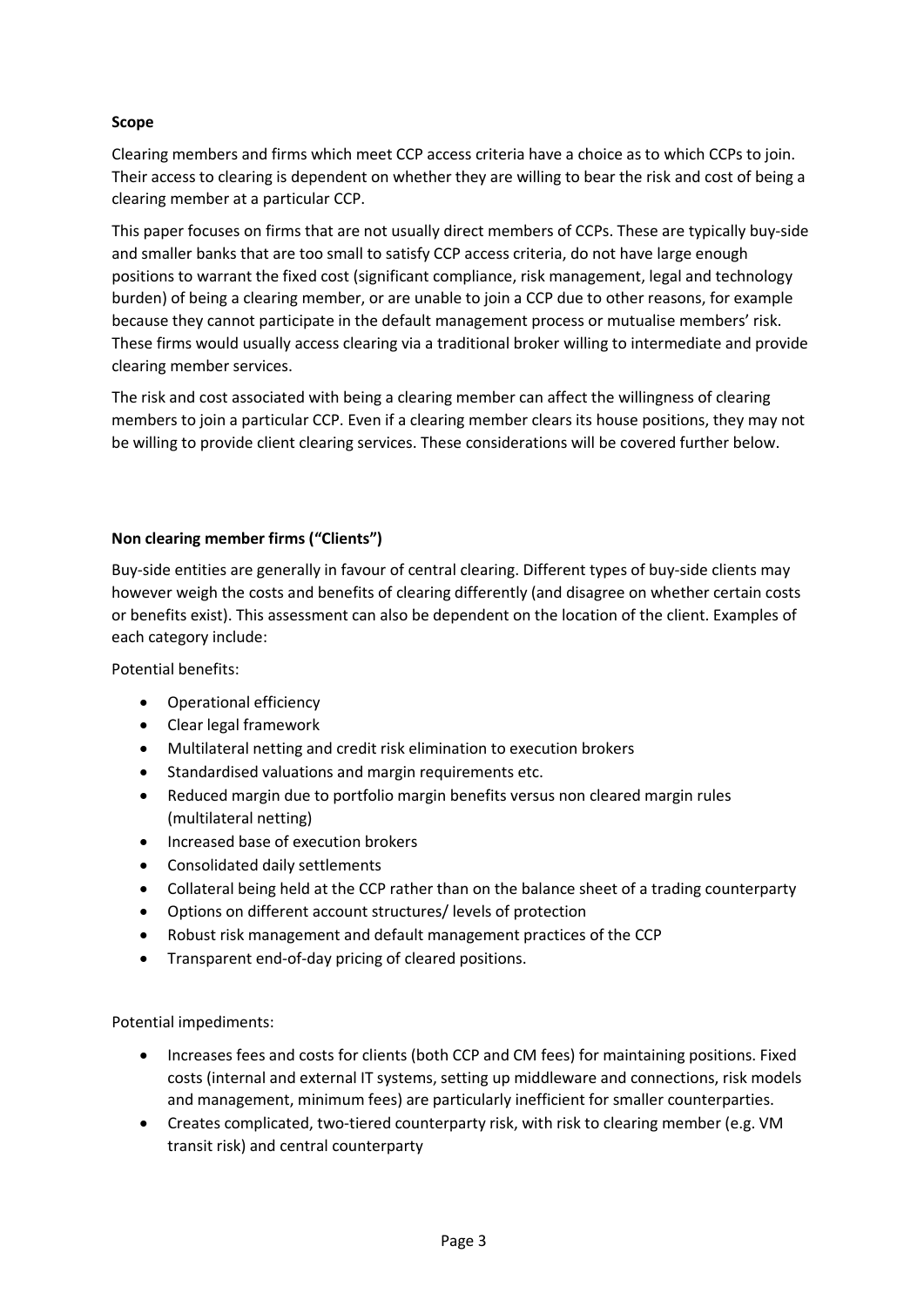# **Scope**

Clearing members and firms which meet CCP access criteria have a choice as to which CCPs to join. Their access to clearing is dependent on whether they are willing to bear the risk and cost of being a clearing member at a particular CCP.

This paper focuses on firms that are not usually direct members of CCPs. These are typically buy-side and smaller banks that are too small to satisfy CCP access criteria, do not have large enough positions to warrant the fixed cost (significant compliance, risk management, legal and technology burden) of being a clearing member, or are unable to join a CCP due to other reasons, for example because they cannot participate in the default management process or mutualise members' risk. These firms would usually access clearing via a traditional broker willing to intermediate and provide clearing member services.

The risk and cost associated with being a clearing member can affect the willingness of clearing members to join a particular CCP. Even if a clearing member clears its house positions, they may not be willing to provide client clearing services. These considerations will be covered further below.

#### **Non clearing member firms ("Clients")**

Buy-side entities are generally in favour of central clearing. Different types of buy-side clients may however weigh the costs and benefits of clearing differently (and disagree on whether certain costs or benefits exist). This assessment can also be dependent on the location of the client. Examples of each category include:

Potential benefits:

- Operational efficiency
- Clear legal framework
- Multilateral netting and credit risk elimination to execution brokers
- Standardised valuations and margin requirements etc.
- Reduced margin due to portfolio margin benefits versus non cleared margin rules (multilateral netting)
- Increased base of execution brokers
- Consolidated daily settlements
- Collateral being held at the CCP rather than on the balance sheet of a trading counterparty
- Options on different account structures/ levels of protection
- Robust risk management and default management practices of the CCP
- Transparent end-of-day pricing of cleared positions.

Potential impediments:

- Increases fees and costs for clients (both CCP and CM fees) for maintaining positions. Fixed costs (internal and external IT systems, setting up middleware and connections, risk models and management, minimum fees) are particularly inefficient for smaller counterparties.
- Creates complicated, two-tiered counterparty risk, with risk to clearing member (e.g. VM transit risk) and central counterparty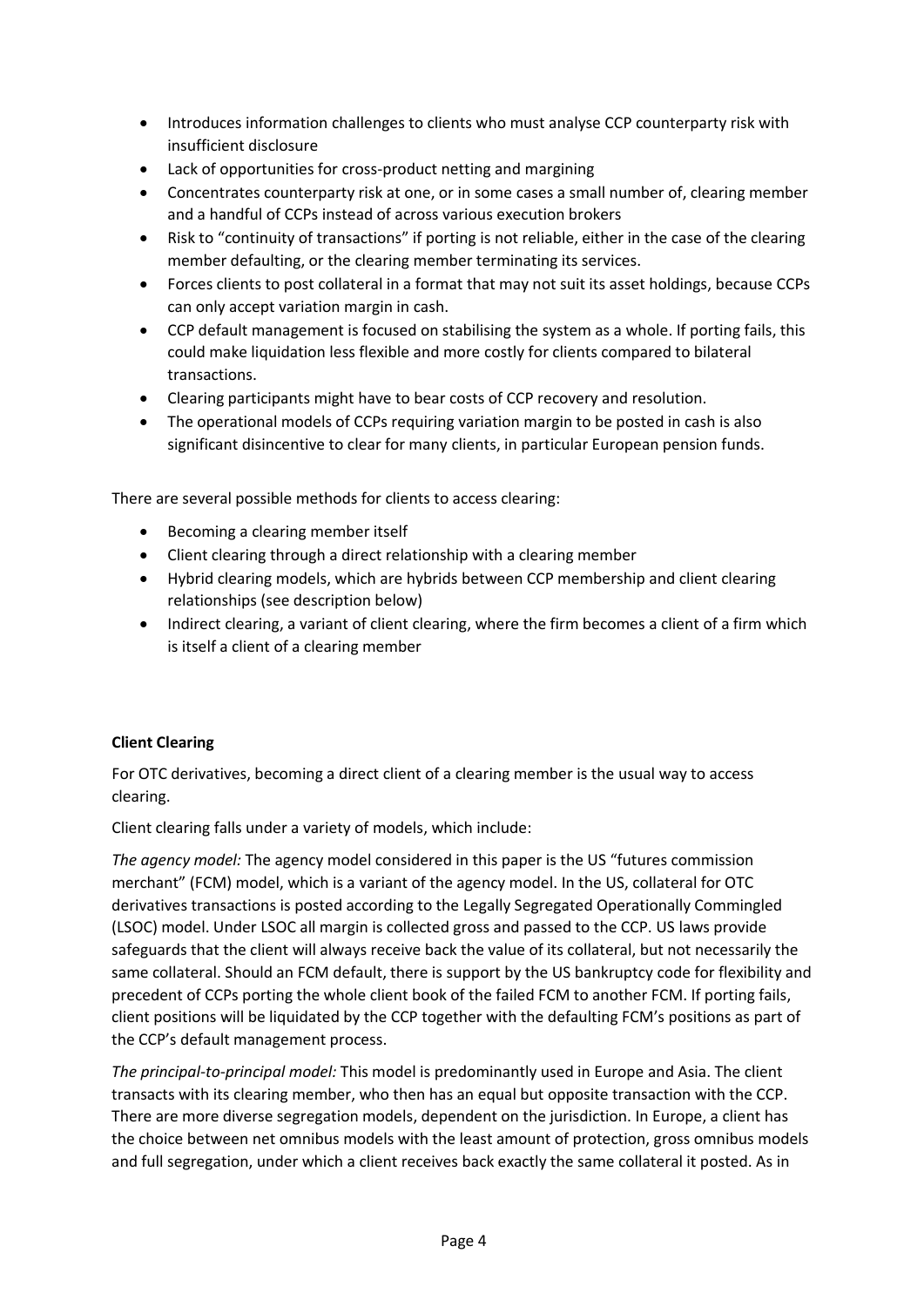- Introduces information challenges to clients who must analyse CCP counterparty risk with insufficient disclosure
- Lack of opportunities for cross-product netting and margining
- Concentrates counterparty risk at one, or in some cases a small number of, clearing member and a handful of CCPs instead of across various execution brokers
- Risk to "continuity of transactions" if porting is not reliable, either in the case of the clearing member defaulting, or the clearing member terminating its services.
- Forces clients to post collateral in a format that may not suit its asset holdings, because CCPs can only accept variation margin in cash.
- CCP default management is focused on stabilising the system as a whole. If porting fails, this could make liquidation less flexible and more costly for clients compared to bilateral transactions.
- Clearing participants might have to bear costs of CCP recovery and resolution.
- The operational models of CCPs requiring variation margin to be posted in cash is also significant disincentive to clear for many clients, in particular European pension funds.

There are several possible methods for clients to access clearing:

- Becoming a clearing member itself
- Client clearing through a direct relationship with a clearing member
- Hybrid clearing models, which are hybrids between CCP membership and client clearing relationships (see description below)
- Indirect clearing, a variant of client clearing, where the firm becomes a client of a firm which is itself a client of a clearing member

### **Client Clearing**

For OTC derivatives, becoming a direct client of a clearing member is the usual way to access clearing.

Client clearing falls under a variety of models, which include:

*The agency model:* The agency model considered in this paper is the US "futures commission merchant" (FCM) model, which is a variant of the agency model. In the US, collateral for OTC derivatives transactions is posted according to the Legally Segregated Operationally Commingled (LSOC) model. Under LSOC all margin is collected gross and passed to the CCP. US laws provide safeguards that the client will always receive back the value of its collateral, but not necessarily the same collateral. Should an FCM default, there is support by the US bankruptcy code for flexibility and precedent of CCPs porting the whole client book of the failed FCM to another FCM. If porting fails, client positions will be liquidated by the CCP together with the defaulting FCM's positions as part of the CCP's default management process.

*The principal-to-principal model:* This model is predominantly used in Europe and Asia. The client transacts with its clearing member, who then has an equal but opposite transaction with the CCP. There are more diverse segregation models, dependent on the jurisdiction. In Europe, a client has the choice between net omnibus models with the least amount of protection, gross omnibus models and full segregation, under which a client receives back exactly the same collateral it posted. As in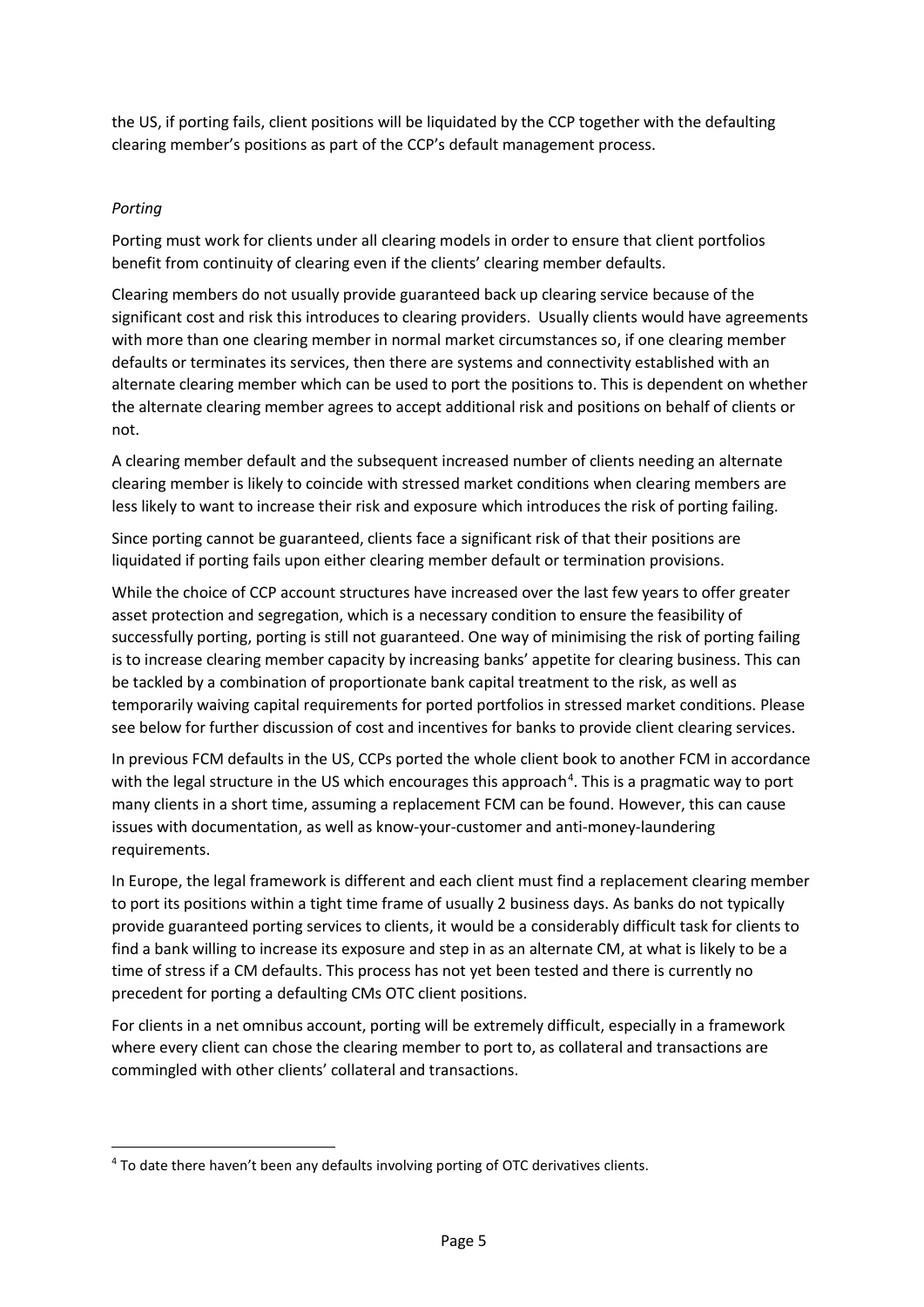the US, if porting fails, client positions will be liquidated by the CCP together with the defaulting clearing member's positions as part of the CCP's default management process.

# *Porting*

Porting must work for clients under all clearing models in order to ensure that client portfolios benefit from continuity of clearing even if the clients' clearing member defaults.

Clearing members do not usually provide guaranteed back up clearing service because of the significant cost and risk this introduces to clearing providers. Usually clients would have agreements with more than one clearing member in normal market circumstances so, if one clearing member defaults or terminates its services, then there are systems and connectivity established with an alternate clearing member which can be used to port the positions to. This is dependent on whether the alternate clearing member agrees to accept additional risk and positions on behalf of clients or not.

A clearing member default and the subsequent increased number of clients needing an alternate clearing member is likely to coincide with stressed market conditions when clearing members are less likely to want to increase their risk and exposure which introduces the risk of porting failing.

Since porting cannot be guaranteed, clients face a significant risk of that their positions are liquidated if porting fails upon either clearing member default or termination provisions.

While the choice of CCP account structures have increased over the last few years to offer greater asset protection and segregation, which is a necessary condition to ensure the feasibility of successfully porting, porting is still not guaranteed. One way of minimising the risk of porting failing is to increase clearing member capacity by increasing banks' appetite for clearing business. This can be tackled by a combination of proportionate bank capital treatment to the risk, as well as temporarily waiving capital requirements for ported portfolios in stressed market conditions. Please see below for further discussion of cost and incentives for banks to provide client clearing services.

In previous FCM defaults in the US, CCPs ported the whole client book to another FCM in accordance with the legal structure in the US which encourages this approach<sup>[4](#page-4-0)</sup>. This is a pragmatic way to port many clients in a short time, assuming a replacement FCM can be found. However, this can cause issues with documentation, as well as know-your-customer and anti-money-laundering requirements.

In Europe, the legal framework is different and each client must find a replacement clearing member to port its positions within a tight time frame of usually 2 business days. As banks do not typically provide guaranteed porting services to clients, it would be a considerably difficult task for clients to find a bank willing to increase its exposure and step in as an alternate CM, at what is likely to be a time of stress if a CM defaults. This process has not yet been tested and there is currently no precedent for porting a defaulting CMs OTC client positions.

For clients in a net omnibus account, porting will be extremely difficult, especially in a framework where every client can chose the clearing member to port to, as collateral and transactions are commingled with other clients' collateral and transactions.

<span id="page-4-0"></span><sup>&</sup>lt;sup>4</sup> To date there haven't been any defaults involving porting of OTC derivatives clients.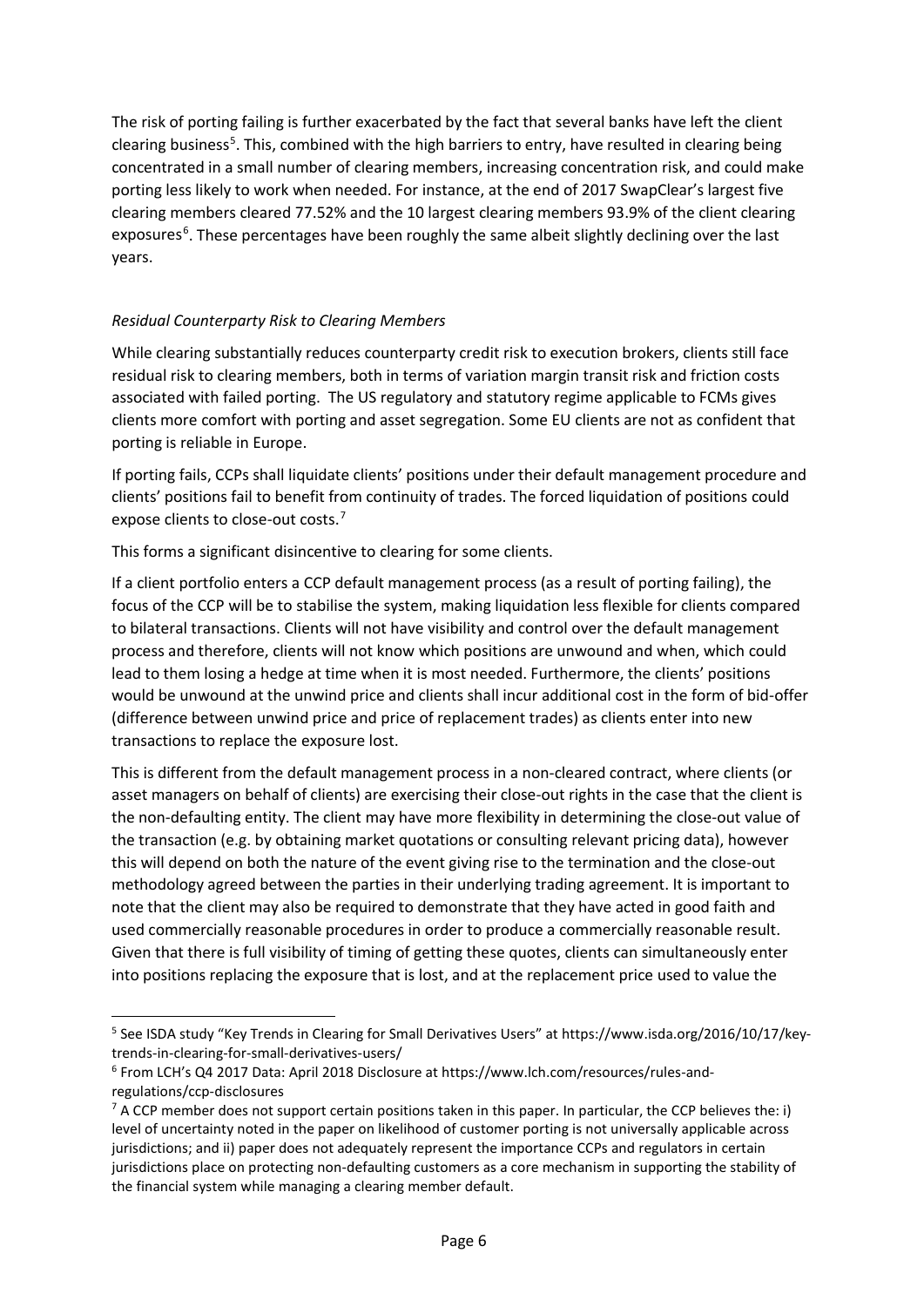The risk of porting failing is further exacerbated by the fact that several banks have left the client clearing business<sup>[5](#page-5-0)</sup>. This, combined with the high barriers to entry, have resulted in clearing being concentrated in a small number of clearing members, increasing concentration risk, and could make porting less likely to work when needed. For instance, at the end of 2017 SwapClear's largest five clearing members cleared 77.52% and the 10 largest clearing members 93.9% of the client clearing exposures<sup>[6](#page-5-1)</sup>. These percentages have been roughly the same albeit slightly declining over the last years.

# *Residual Counterparty Risk to Clearing Members*

While clearing substantially reduces counterparty credit risk to execution brokers, clients still face residual risk to clearing members, both in terms of variation margin transit risk and friction costs associated with failed porting. The US regulatory and statutory regime applicable to FCMs gives clients more comfort with porting and asset segregation. Some EU clients are not as confident that porting is reliable in Europe.

If porting fails, CCPs shall liquidate clients' positions under their default management procedure and clients' positions fail to benefit from continuity of trades. The forced liquidation of positions could expose clients to close-out costs.<sup>[7](#page-5-2)</sup>

This forms a significant disincentive to clearing for some clients.

If a client portfolio enters a CCP default management process (as a result of porting failing), the focus of the CCP will be to stabilise the system, making liquidation less flexible for clients compared to bilateral transactions. Clients will not have visibility and control over the default management process and therefore, clients will not know which positions are unwound and when, which could lead to them losing a hedge at time when it is most needed. Furthermore, the clients' positions would be unwound at the unwind price and clients shall incur additional cost in the form of bid-offer (difference between unwind price and price of replacement trades) as clients enter into new transactions to replace the exposure lost.

This is different from the default management process in a non-cleared contract, where clients (or asset managers on behalf of clients) are exercising their close-out rights in the case that the client is the non-defaulting entity. The client may have more flexibility in determining the close-out value of the transaction (e.g. by obtaining market quotations or consulting relevant pricing data), however this will depend on both the nature of the event giving rise to the termination and the close-out methodology agreed between the parties in their underlying trading agreement. It is important to note that the client may also be required to demonstrate that they have acted in good faith and used commercially reasonable procedures in order to produce a commercially reasonable result. Given that there is full visibility of timing of getting these quotes, clients can simultaneously enter into positions replacing the exposure that is lost, and at the replacement price used to value the

<span id="page-5-0"></span> <sup>5</sup> See ISDA study "Key Trends in Clearing for Small Derivatives Users" at https://www.isda.org/2016/10/17/keytrends-in-clearing-for-small-derivatives-users/

<span id="page-5-1"></span><sup>6</sup> From LCH's Q4 2017 Data: April 2018 Disclosure at https://www.lch.com/resources/rules-andregulations/ccp-disclosures

<span id="page-5-2"></span> $7$  A CCP member does not support certain positions taken in this paper. In particular, the CCP believes the: i) level of uncertainty noted in the paper on likelihood of customer porting is not universally applicable across jurisdictions; and ii) paper does not adequately represent the importance CCPs and regulators in certain jurisdictions place on protecting non-defaulting customers as a core mechanism in supporting the stability of the financial system while managing a clearing member default.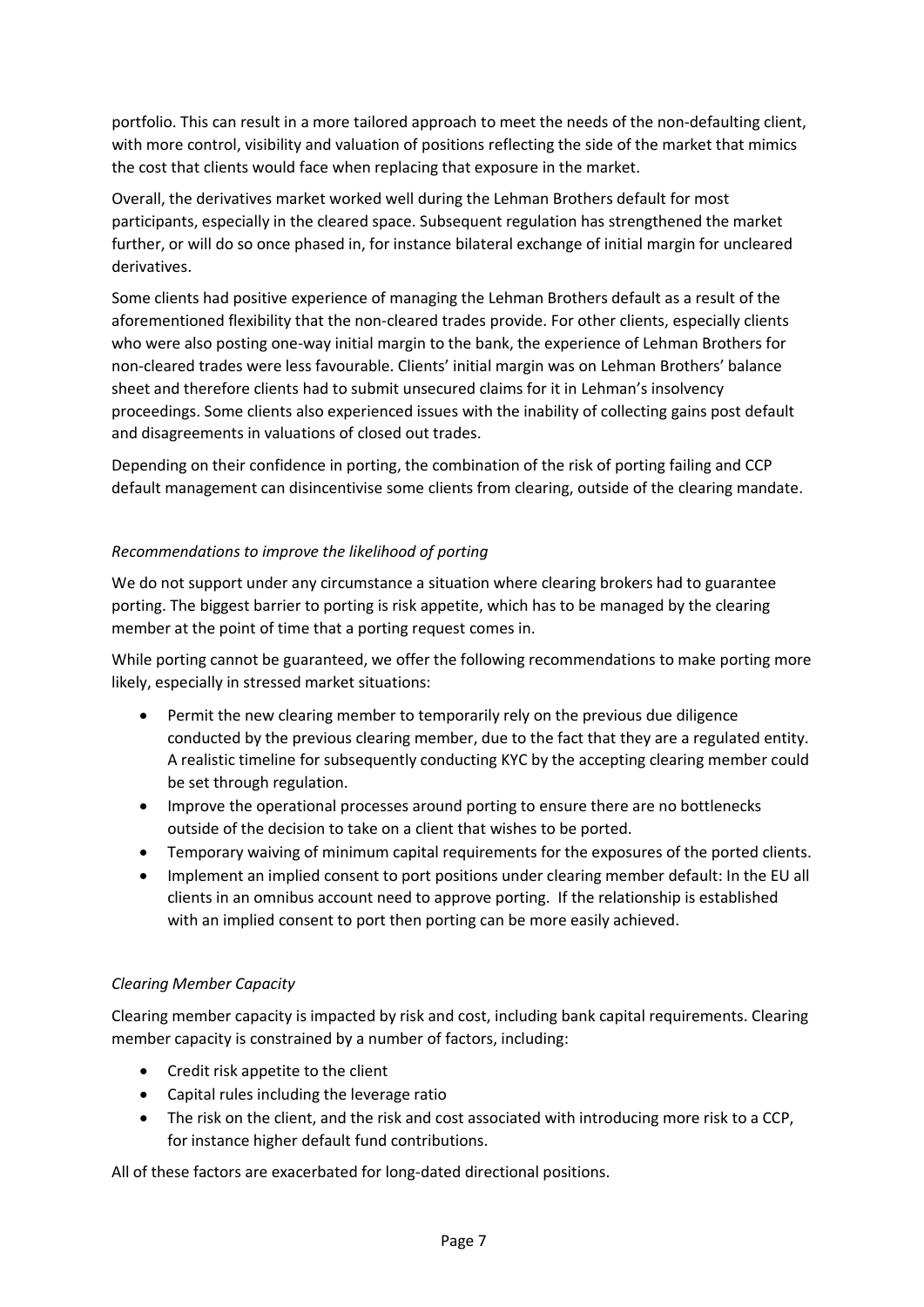portfolio. This can result in a more tailored approach to meet the needs of the non-defaulting client, with more control, visibility and valuation of positions reflecting the side of the market that mimics the cost that clients would face when replacing that exposure in the market.

Overall, the derivatives market worked well during the Lehman Brothers default for most participants, especially in the cleared space. Subsequent regulation has strengthened the market further, or will do so once phased in, for instance bilateral exchange of initial margin for uncleared derivatives.

Some clients had positive experience of managing the Lehman Brothers default as a result of the aforementioned flexibility that the non-cleared trades provide. For other clients, especially clients who were also posting one-way initial margin to the bank, the experience of Lehman Brothers for non-cleared trades were less favourable. Clients' initial margin was on Lehman Brothers' balance sheet and therefore clients had to submit unsecured claims for it in Lehman's insolvency proceedings. Some clients also experienced issues with the inability of collecting gains post default and disagreements in valuations of closed out trades.

Depending on their confidence in porting, the combination of the risk of porting failing and CCP default management can disincentivise some clients from clearing, outside of the clearing mandate.

### *Recommendations to improve the likelihood of porting*

We do not support under any circumstance a situation where clearing brokers had to guarantee porting. The biggest barrier to porting is risk appetite, which has to be managed by the clearing member at the point of time that a porting request comes in.

While porting cannot be guaranteed, we offer the following recommendations to make porting more likely, especially in stressed market situations:

- Permit the new clearing member to temporarily rely on the previous due diligence conducted by the previous clearing member, due to the fact that they are a regulated entity. A realistic timeline for subsequently conducting KYC by the accepting clearing member could be set through regulation.
- Improve the operational processes around porting to ensure there are no bottlenecks outside of the decision to take on a client that wishes to be ported.
- Temporary waiving of minimum capital requirements for the exposures of the ported clients.
- Implement an implied consent to port positions under clearing member default: In the EU all clients in an omnibus account need to approve porting. If the relationship is established with an implied consent to port then porting can be more easily achieved.

#### *Clearing Member Capacity*

Clearing member capacity is impacted by risk and cost, including bank capital requirements. Clearing member capacity is constrained by a number of factors, including:

- Credit risk appetite to the client
- Capital rules including the leverage ratio
- The risk on the client, and the risk and cost associated with introducing more risk to a CCP, for instance higher default fund contributions.

All of these factors are exacerbated for long-dated directional positions.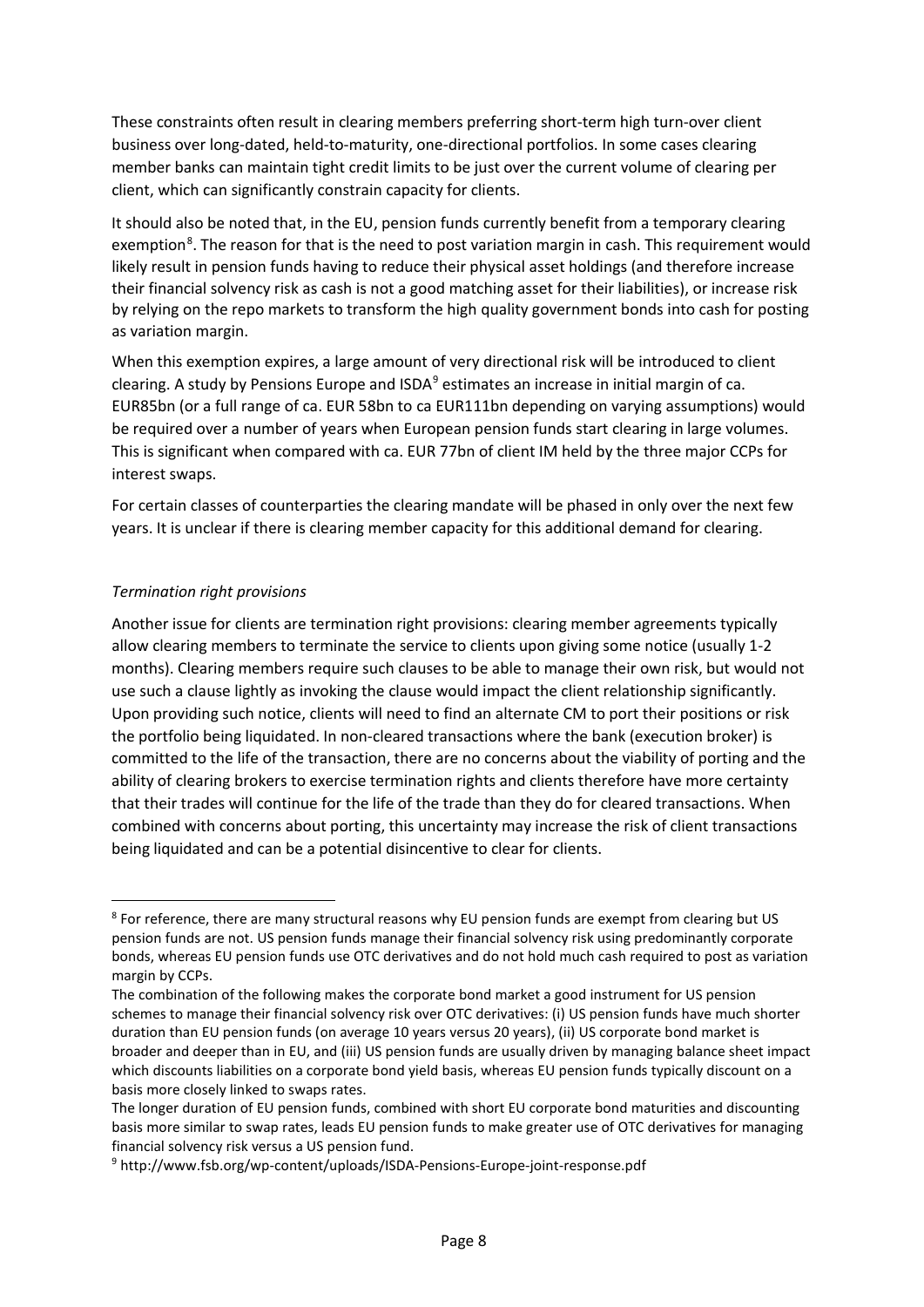These constraints often result in clearing members preferring short-term high turn-over client business over long-dated, held-to-maturity, one-directional portfolios. In some cases clearing member banks can maintain tight credit limits to be just over the current volume of clearing per client, which can significantly constrain capacity for clients.

It should also be noted that, in the EU, pension funds currently benefit from a temporary clearing exemption<sup>[8](#page-7-0)</sup>. The reason for that is the need to post variation margin in cash. This requirement would likely result in pension funds having to reduce their physical asset holdings (and therefore increase their financial solvency risk as cash is not a good matching asset for their liabilities), or increase risk by relying on the repo markets to transform the high quality government bonds into cash for posting as variation margin.

When this exemption expires, a large amount of very directional risk will be introduced to client clearing. A study by Pensions Europe and ISDA<sup>[9](#page-7-1)</sup> estimates an increase in initial margin of ca. EUR85bn (or a full range of ca. EUR 58bn to ca EUR111bn depending on varying assumptions) would be required over a number of years when European pension funds start clearing in large volumes. This is significant when compared with ca. EUR 77bn of client IM held by the three major CCPs for interest swaps.

For certain classes of counterparties the clearing mandate will be phased in only over the next few years. It is unclear if there is clearing member capacity for this additional demand for clearing.

### *Termination right provisions*

Another issue for clients are termination right provisions: clearing member agreements typically allow clearing members to terminate the service to clients upon giving some notice (usually 1-2 months). Clearing members require such clauses to be able to manage their own risk, but would not use such a clause lightly as invoking the clause would impact the client relationship significantly. Upon providing such notice, clients will need to find an alternate CM to port their positions or risk the portfolio being liquidated. In non-cleared transactions where the bank (execution broker) is committed to the life of the transaction, there are no concerns about the viability of porting and the ability of clearing brokers to exercise termination rights and clients therefore have more certainty that their trades will continue for the life of the trade than they do for cleared transactions. When combined with concerns about porting, this uncertainty may increase the risk of client transactions being liquidated and can be a potential disincentive to clear for clients.

<span id="page-7-0"></span><sup>&</sup>lt;sup>8</sup> For reference, there are many structural reasons why EU pension funds are exempt from clearing but US pension funds are not. US pension funds manage their financial solvency risk using predominantly corporate bonds, whereas EU pension funds use OTC derivatives and do not hold much cash required to post as variation margin by CCPs.

The combination of the following makes the corporate bond market a good instrument for US pension schemes to manage their financial solvency risk over OTC derivatives: (i) US pension funds have much shorter duration than EU pension funds (on average 10 years versus 20 years), (ii) US corporate bond market is broader and deeper than in EU, and (iii) US pension funds are usually driven by managing balance sheet impact which discounts liabilities on a corporate bond yield basis, whereas EU pension funds typically discount on a basis more closely linked to swaps rates.

The longer duration of EU pension funds, combined with short EU corporate bond maturities and discounting basis more similar to swap rates, leads EU pension funds to make greater use of OTC derivatives for managing financial solvency risk versus a US pension fund.

<span id="page-7-1"></span><sup>9</sup> http://www.fsb.org/wp-content/uploads/ISDA-Pensions-Europe-joint-response.pdf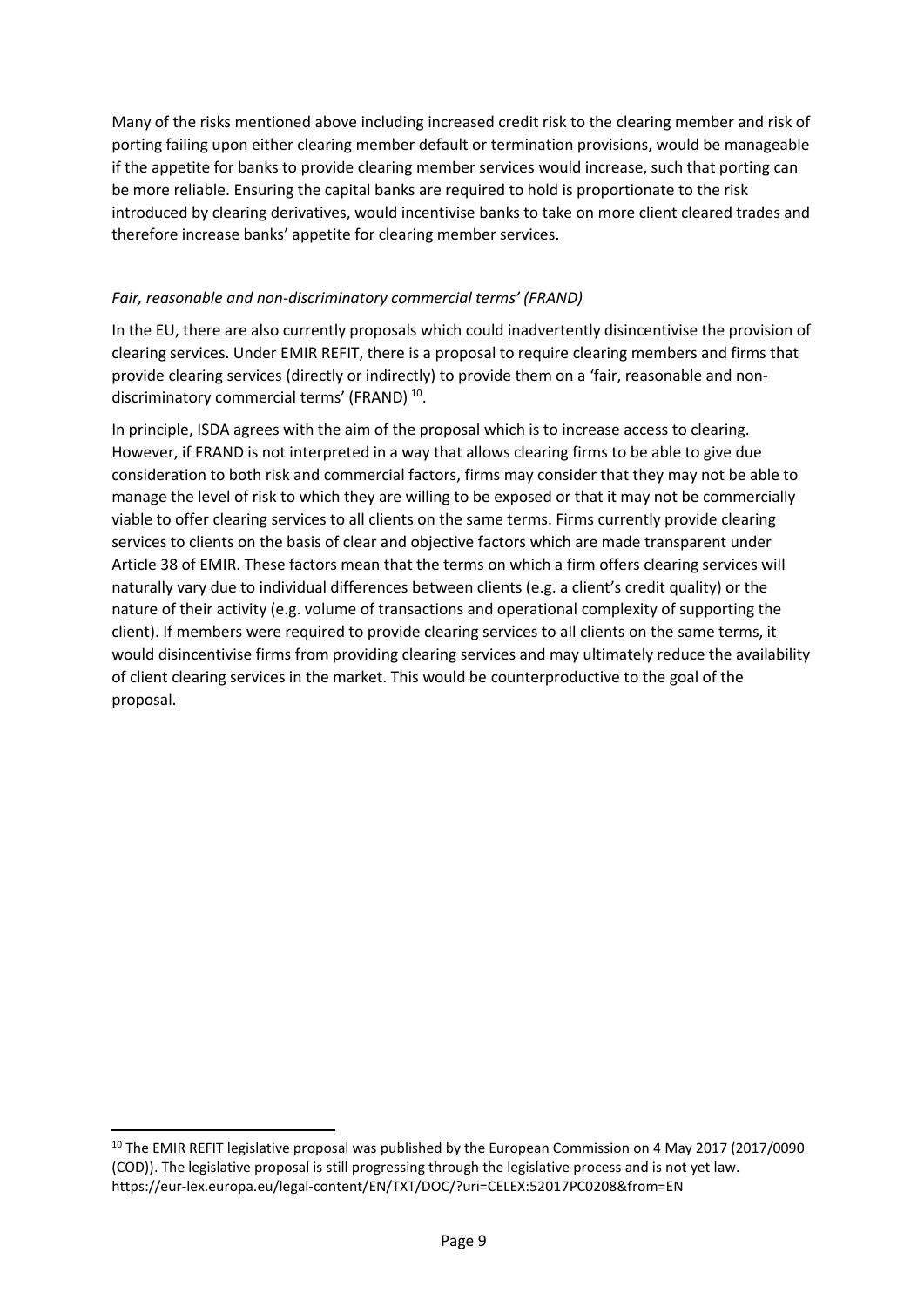Many of the risks mentioned above including increased credit risk to the clearing member and risk of porting failing upon either clearing member default or termination provisions, would be manageable if the appetite for banks to provide clearing member services would increase, such that porting can be more reliable. Ensuring the capital banks are required to hold is proportionate to the risk introduced by clearing derivatives, would incentivise banks to take on more client cleared trades and therefore increase banks' appetite for clearing member services.

#### *Fair, reasonable and non-discriminatory commercial terms' (FRAND)*

In the EU, there are also currently proposals which could inadvertently disincentivise the provision of clearing services. Under EMIR REFIT, there is a proposal to require clearing members and firms that provide clearing services (directly or indirectly) to provide them on a 'fair, reasonable and nondiscriminatory commercial terms' (FRAND) [10](#page-8-0).

In principle, ISDA agrees with the aim of the proposal which is to increase access to clearing. However, if FRAND is not interpreted in a way that allows clearing firms to be able to give due consideration to both risk and commercial factors, firms may consider that they may not be able to manage the level of risk to which they are willing to be exposed or that it may not be commercially viable to offer clearing services to all clients on the same terms. Firms currently provide clearing services to clients on the basis of clear and objective factors which are made transparent under Article 38 of EMIR. These factors mean that the terms on which a firm offers clearing services will naturally vary due to individual differences between clients (e.g. a client's credit quality) or the nature of their activity (e.g. volume of transactions and operational complexity of supporting the client). If members were required to provide clearing services to all clients on the same terms, it would disincentivise firms from providing clearing services and may ultimately reduce the availability of client clearing services in the market. This would be counterproductive to the goal of the proposal.

<span id="page-8-0"></span><sup>&</sup>lt;sup>10</sup> The EMIR REFIT legislative proposal was published by the European Commission on 4 May 2017 (2017/0090 (COD)). The legislative proposal is still progressing through the legislative process and is not yet law. https://eur-lex.europa.eu/legal-content/EN/TXT/DOC/?uri=CELEX:52017PC0208&from=EN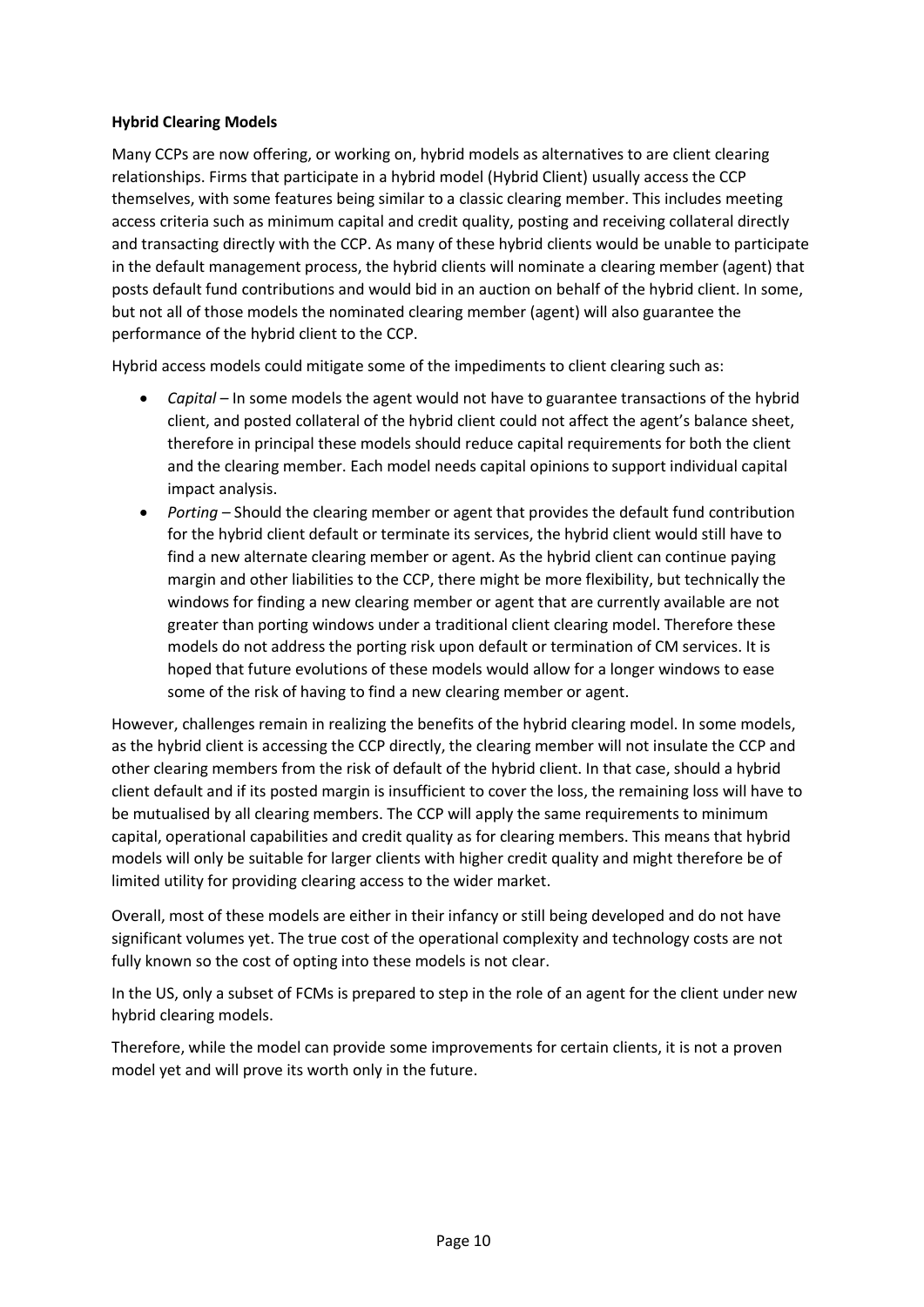### **Hybrid Clearing Models**

Many CCPs are now offering, or working on, hybrid models as alternatives to are client clearing relationships. Firms that participate in a hybrid model (Hybrid Client) usually access the CCP themselves, with some features being similar to a classic clearing member. This includes meeting access criteria such as minimum capital and credit quality, posting and receiving collateral directly and transacting directly with the CCP. As many of these hybrid clients would be unable to participate in the default management process, the hybrid clients will nominate a clearing member (agent) that posts default fund contributions and would bid in an auction on behalf of the hybrid client. In some, but not all of those models the nominated clearing member (agent) will also guarantee the performance of the hybrid client to the CCP.

Hybrid access models could mitigate some of the impediments to client clearing such as:

- *Capital –* In some models the agent would not have to guarantee transactions of the hybrid client, and posted collateral of the hybrid client could not affect the agent's balance sheet, therefore in principal these models should reduce capital requirements for both the client and the clearing member. Each model needs capital opinions to support individual capital impact analysis.
- *Porting –* Should the clearing member or agent that provides the default fund contribution for the hybrid client default or terminate its services, the hybrid client would still have to find a new alternate clearing member or agent. As the hybrid client can continue paying margin and other liabilities to the CCP, there might be more flexibility, but technically the windows for finding a new clearing member or agent that are currently available are not greater than porting windows under a traditional client clearing model. Therefore these models do not address the porting risk upon default or termination of CM services. It is hoped that future evolutions of these models would allow for a longer windows to ease some of the risk of having to find a new clearing member or agent.

However, challenges remain in realizing the benefits of the hybrid clearing model. In some models, as the hybrid client is accessing the CCP directly, the clearing member will not insulate the CCP and other clearing members from the risk of default of the hybrid client. In that case, should a hybrid client default and if its posted margin is insufficient to cover the loss, the remaining loss will have to be mutualised by all clearing members. The CCP will apply the same requirements to minimum capital, operational capabilities and credit quality as for clearing members. This means that hybrid models will only be suitable for larger clients with higher credit quality and might therefore be of limited utility for providing clearing access to the wider market.

Overall, most of these models are either in their infancy or still being developed and do not have significant volumes yet. The true cost of the operational complexity and technology costs are not fully known so the cost of opting into these models is not clear.

In the US, only a subset of FCMs is prepared to step in the role of an agent for the client under new hybrid clearing models.

Therefore, while the model can provide some improvements for certain clients, it is not a proven model yet and will prove its worth only in the future.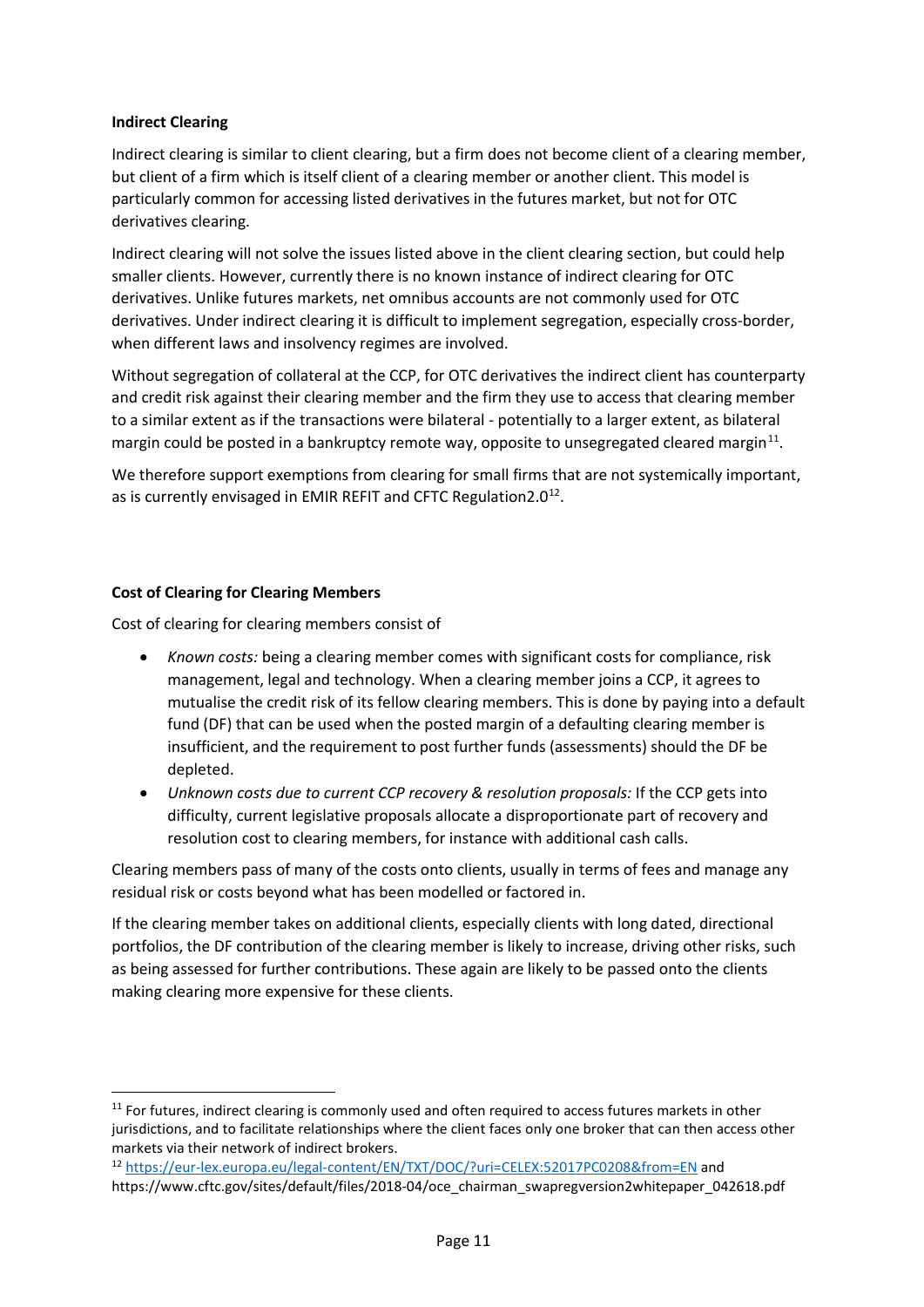#### **Indirect Clearing**

Indirect clearing is similar to client clearing, but a firm does not become client of a clearing member, but client of a firm which is itself client of a clearing member or another client. This model is particularly common for accessing listed derivatives in the futures market, but not for OTC derivatives clearing.

Indirect clearing will not solve the issues listed above in the client clearing section, but could help smaller clients. However, currently there is no known instance of indirect clearing for OTC derivatives. Unlike futures markets, net omnibus accounts are not commonly used for OTC derivatives. Under indirect clearing it is difficult to implement segregation, especially cross-border, when different laws and insolvency regimes are involved.

Without segregation of collateral at the CCP, for OTC derivatives the indirect client has counterparty and credit risk against their clearing member and the firm they use to access that clearing member to a similar extent as if the transactions were bilateral - potentially to a larger extent, as bilateral margin could be posted in a bankruptcy remote way, opposite to unsegregated cleared margin<sup>[11](#page-10-0)</sup>.

We therefore support exemptions from clearing for small firms that are not systemically important, as is currently envisaged in EMIR REFIT and CFTC Regulation  $2.0^{12}$ .

### **Cost of Clearing for Clearing Members**

Cost of clearing for clearing members consist of

- *Known costs:* being a clearing member comes with significant costs for compliance, risk management, legal and technology. When a clearing member joins a CCP, it agrees to mutualise the credit risk of its fellow clearing members. This is done by paying into a default fund (DF) that can be used when the posted margin of a defaulting clearing member is insufficient, and the requirement to post further funds (assessments) should the DF be depleted.
- *Unknown costs due to current CCP recovery & resolution proposals:* If the CCP gets into difficulty, current legislative proposals allocate a disproportionate part of recovery and resolution cost to clearing members, for instance with additional cash calls.

Clearing members pass of many of the costs onto clients, usually in terms of fees and manage any residual risk or costs beyond what has been modelled or factored in.

If the clearing member takes on additional clients, especially clients with long dated, directional portfolios, the DF contribution of the clearing member is likely to increase, driving other risks, such as being assessed for further contributions. These again are likely to be passed onto the clients making clearing more expensive for these clients.

<span id="page-10-0"></span> $11$  For futures, indirect clearing is commonly used and often required to access futures markets in other jurisdictions, and to facilitate relationships where the client faces only one broker that can then access other markets via their network of indirect brokers.

<span id="page-10-1"></span><sup>12</sup> <https://eur-lex.europa.eu/legal-content/EN/TXT/DOC/?uri=CELEX:52017PC0208&from=EN> and https://www.cftc.gov/sites/default/files/2018-04/oce\_chairman\_swapregversion2whitepaper\_042618.pdf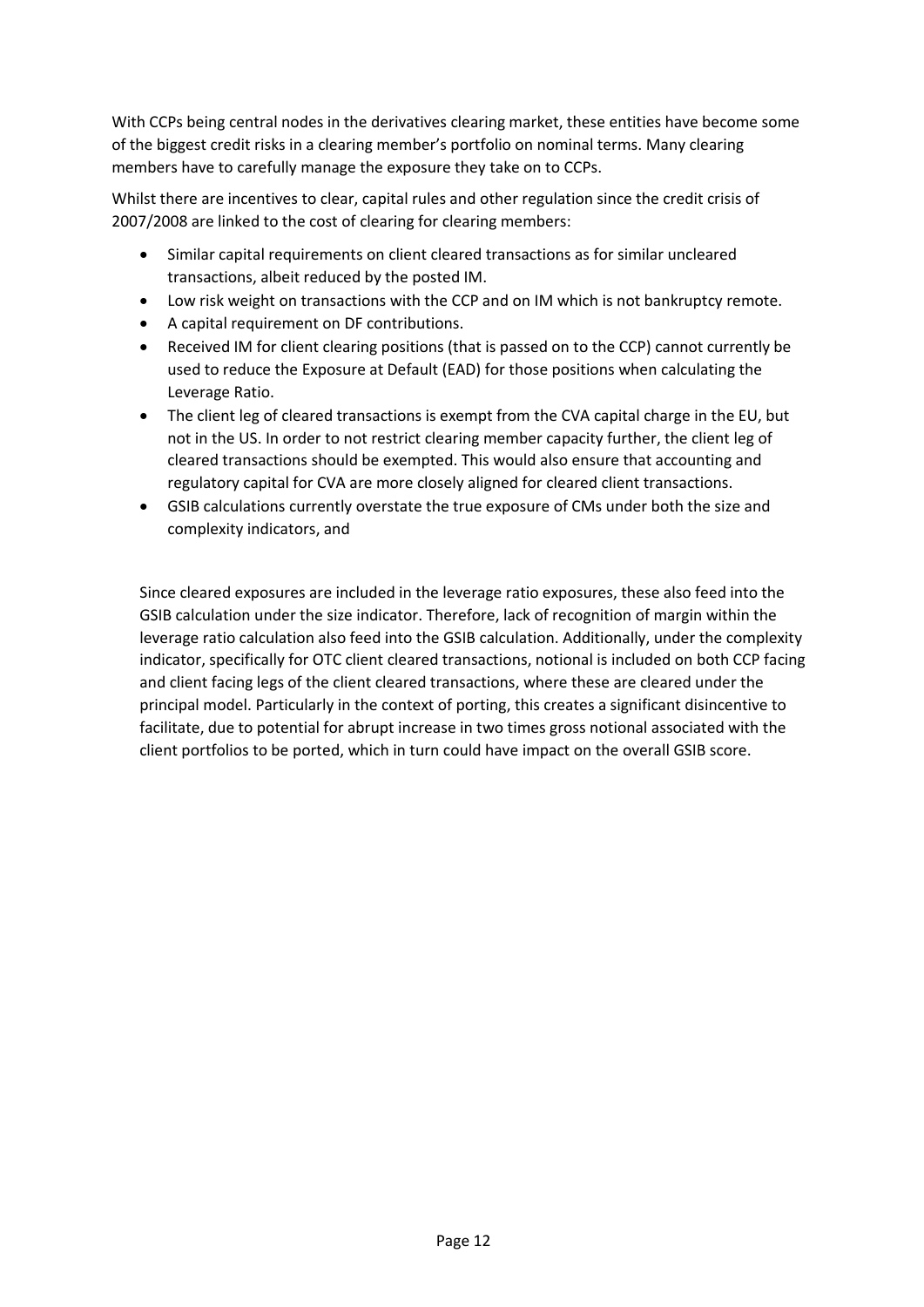With CCPs being central nodes in the derivatives clearing market, these entities have become some of the biggest credit risks in a clearing member's portfolio on nominal terms. Many clearing members have to carefully manage the exposure they take on to CCPs.

Whilst there are incentives to clear, capital rules and other regulation since the credit crisis of 2007/2008 are linked to the cost of clearing for clearing members:

- Similar capital requirements on client cleared transactions as for similar uncleared transactions, albeit reduced by the posted IM.
- Low risk weight on transactions with the CCP and on IM which is not bankruptcy remote.
- A capital requirement on DF contributions.
- Received IM for client clearing positions (that is passed on to the CCP) cannot currently be used to reduce the Exposure at Default (EAD) for those positions when calculating the Leverage Ratio.
- The client leg of cleared transactions is exempt from the CVA capital charge in the EU, but not in the US. In order to not restrict clearing member capacity further, the client leg of cleared transactions should be exempted. This would also ensure that accounting and regulatory capital for CVA are more closely aligned for cleared client transactions.
- GSIB calculations currently overstate the true exposure of CMs under both the size and complexity indicators, and

Since cleared exposures are included in the leverage ratio exposures, these also feed into the GSIB calculation under the size indicator. Therefore, lack of recognition of margin within the leverage ratio calculation also feed into the GSIB calculation. Additionally, under the complexity indicator, specifically for OTC client cleared transactions, notional is included on both CCP facing and client facing legs of the client cleared transactions, where these are cleared under the principal model. Particularly in the context of porting, this creates a significant disincentive to facilitate, due to potential for abrupt increase in two times gross notional associated with the client portfolios to be ported, which in turn could have impact on the overall GSIB score.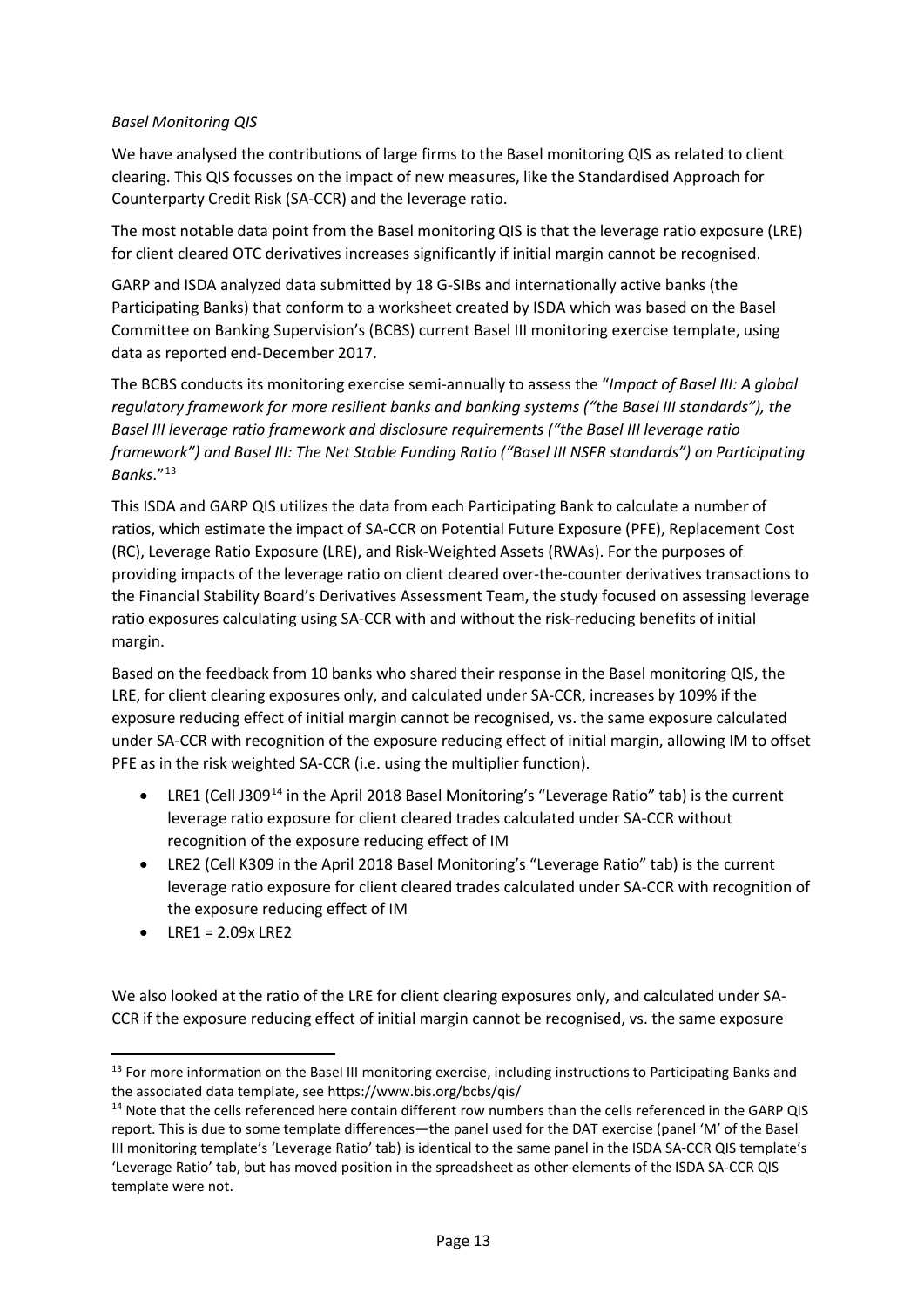# *Basel Monitoring QIS*

We have analysed the contributions of large firms to the Basel monitoring QIS as related to client clearing. This QIS focusses on the impact of new measures, like the Standardised Approach for Counterparty Credit Risk (SA-CCR) and the leverage ratio.

The most notable data point from the Basel monitoring QIS is that the leverage ratio exposure (LRE) for client cleared OTC derivatives increases significantly if initial margin cannot be recognised.

GARP and ISDA analyzed data submitted by 18 G-SIBs and internationally active banks (the Participating Banks) that conform to a worksheet created by ISDA which was based on the Basel Committee on Banking Supervision's (BCBS) current Basel III monitoring exercise template, using data as reported end-December 2017.

The BCBS conducts its monitoring exercise semi-annually to assess the "*Impact of Basel III: A global regulatory framework for more resilient banks and banking systems ("the Basel III standards"), the Basel III leverage ratio framework and disclosure requirements ("the Basel III leverage ratio framework") and Basel III: The Net Stable Funding Ratio ("Basel III NSFR standards") on Participating Banks*."[13](#page-12-0)

This ISDA and GARP QIS utilizes the data from each Participating Bank to calculate a number of ratios, which estimate the impact of SA-CCR on Potential Future Exposure (PFE), Replacement Cost (RC), Leverage Ratio Exposure (LRE), and Risk-Weighted Assets (RWAs). For the purposes of providing impacts of the leverage ratio on client cleared over-the-counter derivatives transactions to the Financial Stability Board's Derivatives Assessment Team, the study focused on assessing leverage ratio exposures calculating using SA-CCR with and without the risk-reducing benefits of initial margin.

Based on the feedback from 10 banks who shared their response in the Basel monitoring QIS, the LRE, for client clearing exposures only, and calculated under SA-CCR, increases by 109% if the exposure reducing effect of initial margin cannot be recognised, vs. the same exposure calculated under SA-CCR with recognition of the exposure reducing effect of initial margin, allowing IM to offset PFE as in the risk weighted SA-CCR (i.e. using the multiplier function).

- LRE1 (Cell J309<sup>[14](#page-12-1)</sup> in the April 2018 Basel Monitoring's "Leverage Ratio" tab) is the current leverage ratio exposure for client cleared trades calculated under SA-CCR without recognition of the exposure reducing effect of IM
- LRE2 (Cell K309 in the April 2018 Basel Monitoring's "Leverage Ratio" tab) is the current leverage ratio exposure for client cleared trades calculated under SA-CCR with recognition of the exposure reducing effect of IM
- $\bullet$  LRE1 = 2.09x LRE2

We also looked at the ratio of the LRE for client clearing exposures only, and calculated under SA-CCR if the exposure reducing effect of initial margin cannot be recognised, vs. the same exposure

<span id="page-12-0"></span><sup>&</sup>lt;sup>13</sup> For more information on the Basel III monitoring exercise, including instructions to Participating Banks and the associated data template, see https://www.bis.org/bcbs/qis/

<span id="page-12-1"></span><sup>&</sup>lt;sup>14</sup> Note that the cells referenced here contain different row numbers than the cells referenced in the GARP QIS report. This is due to some template differences—the panel used for the DAT exercise (panel 'M' of the Basel III monitoring template's 'Leverage Ratio' tab) is identical to the same panel in the ISDA SA-CCR QIS template's 'Leverage Ratio' tab, but has moved position in the spreadsheet as other elements of the ISDA SA-CCR QIS template were not.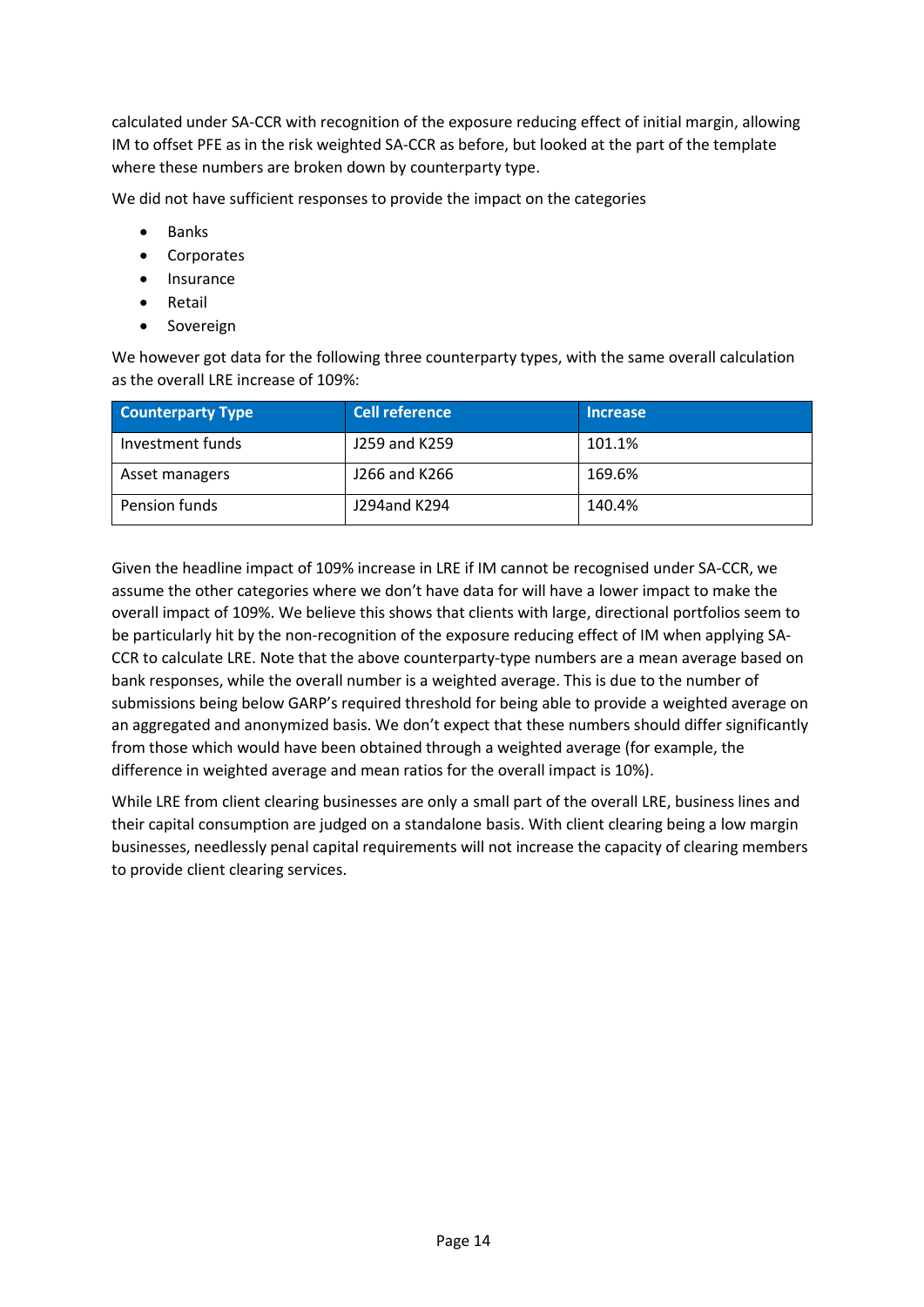calculated under SA-CCR with recognition of the exposure reducing effect of initial margin, allowing IM to offset PFE as in the risk weighted SA-CCR as before, but looked at the part of the template where these numbers are broken down by counterparty type.

We did not have sufficient responses to provide the impact on the categories

- **Banks**
- Corporates
- Insurance
- Retail
- Sovereign

We however got data for the following three counterparty types, with the same overall calculation as the overall LRE increase of 109%:

| <b>Counterparty Type</b> | <b>Cell reference</b> | <b>Increase</b> |
|--------------------------|-----------------------|-----------------|
| Investment funds         | J259 and K259         | 101.1%          |
| Asset managers           | J266 and K266         | 169.6%          |
| Pension funds            | J294and K294          | 140.4%          |

Given the headline impact of 109% increase in LRE if IM cannot be recognised under SA-CCR, we assume the other categories where we don't have data for will have a lower impact to make the overall impact of 109%. We believe this shows that clients with large, directional portfolios seem to be particularly hit by the non-recognition of the exposure reducing effect of IM when applying SA-CCR to calculate LRE. Note that the above counterparty-type numbers are a mean average based on bank responses, while the overall number is a weighted average. This is due to the number of submissions being below GARP's required threshold for being able to provide a weighted average on an aggregated and anonymized basis. We don't expect that these numbers should differ significantly from those which would have been obtained through a weighted average (for example, the difference in weighted average and mean ratios for the overall impact is 10%).

While LRE from client clearing businesses are only a small part of the overall LRE, business lines and their capital consumption are judged on a standalone basis. With client clearing being a low margin businesses, needlessly penal capital requirements will not increase the capacity of clearing members to provide client clearing services.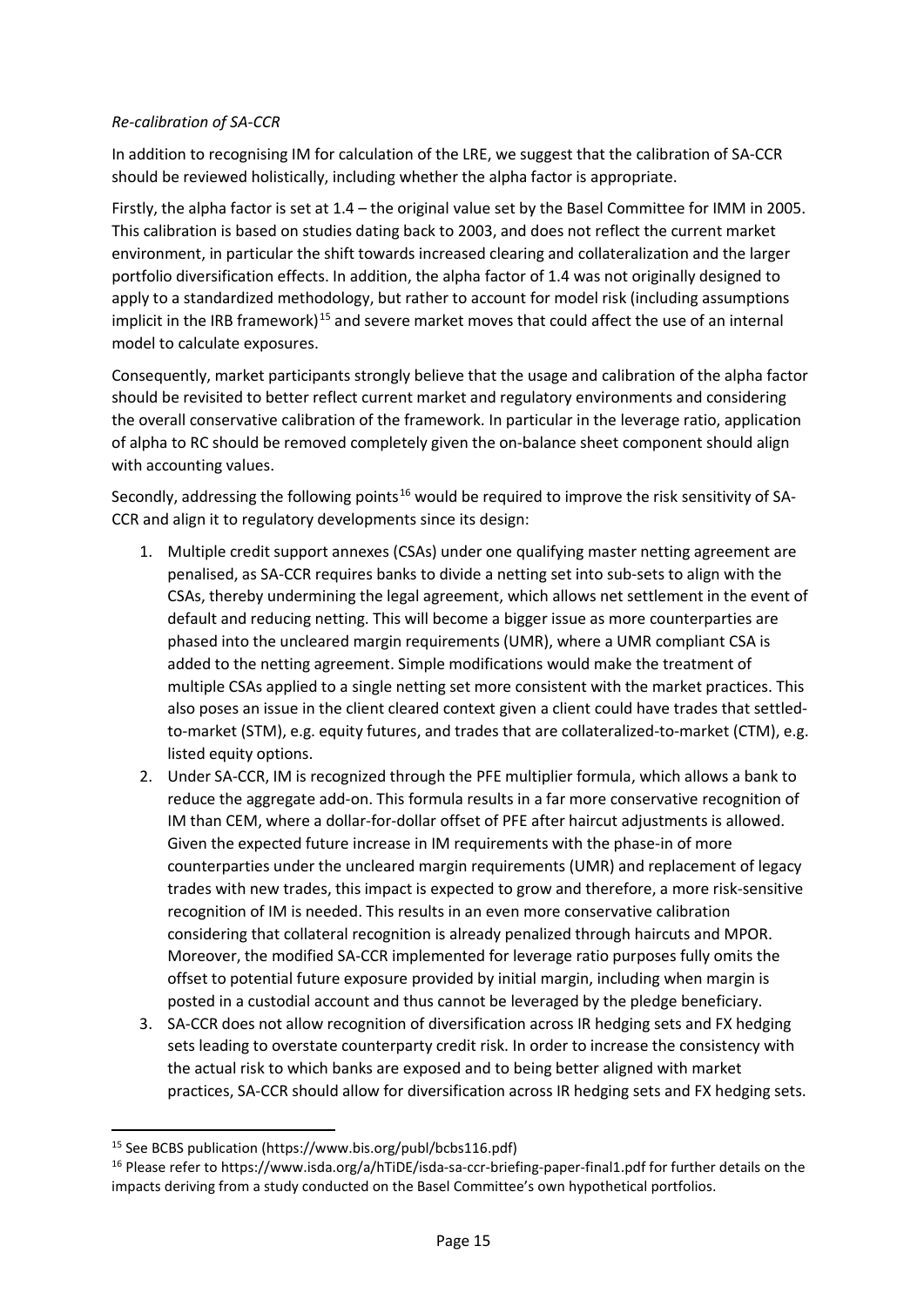### *Re-calibration of SA-CCR*

In addition to recognising IM for calculation of the LRE, we suggest that the calibration of SA-CCR should be reviewed holistically, including whether the alpha factor is appropriate.

Firstly, the alpha factor is set at 1.4 – the original value set by the Basel Committee for IMM in 2005. This calibration is based on studies dating back to 2003, and does not reflect the current market environment, in particular the shift towards increased clearing and collateralization and the larger portfolio diversification effects. In addition, the alpha factor of 1.4 was not originally designed to apply to a standardized methodology, but rather to account for model risk (including assumptions implicit in the IRB framework)<sup>[15](#page-14-0)</sup> and severe market moves that could affect the use of an internal model to calculate exposures.

Consequently, market participants strongly believe that the usage and calibration of the alpha factor should be revisited to better reflect current market and regulatory environments and considering the overall conservative calibration of the framework. In particular in the leverage ratio, application of alpha to RC should be removed completely given the on-balance sheet component should align with accounting values.

Secondly, addressing the following points<sup>[16](#page-14-1)</sup> would be required to improve the risk sensitivity of SA-CCR and align it to regulatory developments since its design:

- 1. Multiple credit support annexes (CSAs) under one qualifying master netting agreement are penalised, as SA-CCR requires banks to divide a netting set into sub-sets to align with the CSAs, thereby undermining the legal agreement, which allows net settlement in the event of default and reducing netting. This will become a bigger issue as more counterparties are phased into the uncleared margin requirements (UMR), where a UMR compliant CSA is added to the netting agreement. Simple modifications would make the treatment of multiple CSAs applied to a single netting set more consistent with the market practices. This also poses an issue in the client cleared context given a client could have trades that settledto-market (STM), e.g. equity futures, and trades that are collateralized-to-market (CTM), e.g. listed equity options.
- 2. Under SA-CCR, IM is recognized through the PFE multiplier formula, which allows a bank to reduce the aggregate add-on. This formula results in a far more conservative recognition of IM than CEM, where a dollar-for-dollar offset of PFE after haircut adjustments is allowed. Given the expected future increase in IM requirements with the phase-in of more counterparties under the uncleared margin requirements (UMR) and replacement of legacy trades with new trades, this impact is expected to grow and therefore, a more risk-sensitive recognition of IM is needed. This results in an even more conservative calibration considering that collateral recognition is already penalized through haircuts and MPOR. Moreover, the modified SA-CCR implemented for leverage ratio purposes fully omits the offset to potential future exposure provided by initial margin, including when margin is posted in a custodial account and thus cannot be leveraged by the pledge beneficiary.
- 3. SA-CCR does not allow recognition of diversification across IR hedging sets and FX hedging sets leading to overstate counterparty credit risk. In order to increase the consistency with the actual risk to which banks are exposed and to being better aligned with market practices, SA-CCR should allow for diversification across IR hedging sets and FX hedging sets.

<span id="page-14-0"></span> <sup>15</sup> See BCBS publication (https://www.bis.org/publ/bcbs116.pdf)

<span id="page-14-1"></span><sup>&</sup>lt;sup>16</sup> Please refer to https://www.isda.org/a/hTiDE/isda-sa-ccr-briefing-paper-final1.pdf for further details on the impacts deriving from a study conducted on the Basel Committee's own hypothetical portfolios.